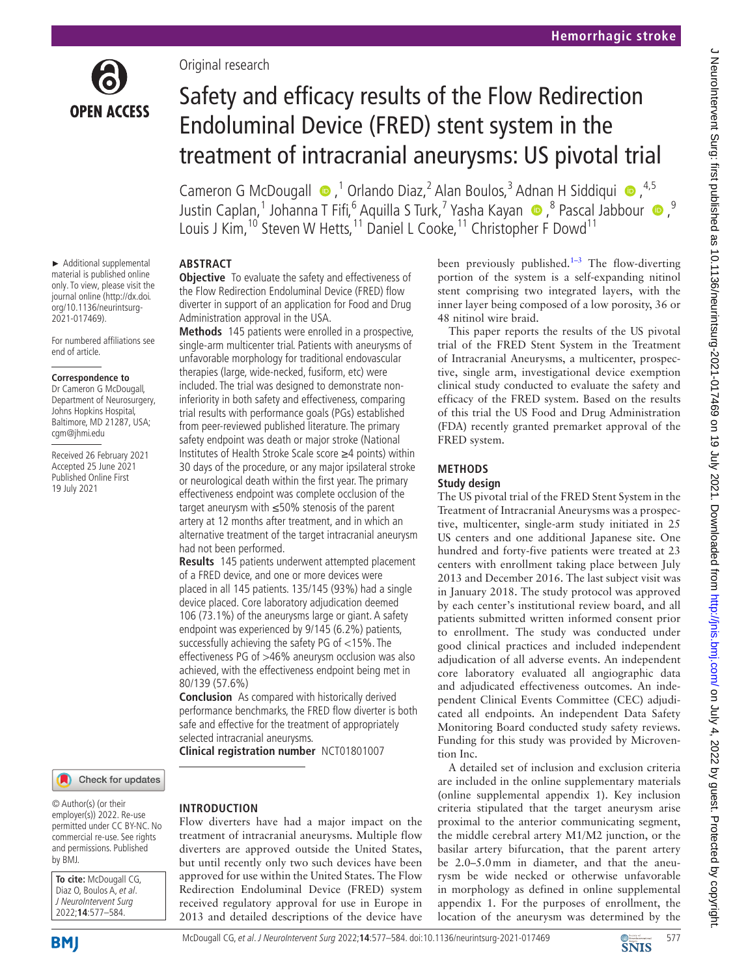

► Additional supplemental material is published online only. To view, please visit the journal online (http://dx.doi. org/10.1136/neurintsurg-2021-017469).

For numbered affiliations see

**Correspondence to** Dr Cameron G McDougall, Department of Neurosurgery, Johns Hopkins Hospital, Baltimore, MD 21287, USA;

Received 26 February 2021 Accepted 25 June 2021 Published Online First 19 July 2021

end of article.

cgm@jhmi.edu

Original research

# Safety and efficacy results of the Flow Redirection Endoluminal Device (FRED) stent system in the treatment of intracranial aneurysms: US pivotal trial

CameronG McDougall  $\bullet$ ,<sup>1</sup> Orlando Diaz,<sup>2</sup> Alan Boulos,<sup>3</sup> Adnan H Siddiqui  $\bullet$ ,<sup>4,5</sup> JustinCaplan,<sup>1</sup> Johanna T Fifi,<sup>6</sup> Aquilla S Turk,<sup>7</sup> Yasha Kayan @,<sup>8</sup> Pascal Jabbour @,<sup>9</sup> Louis J Kim,<sup>10</sup> Steven W Hetts,<sup>11</sup> Daniel L Cooke,<sup>11</sup> Christopher F Dowd<sup>11</sup>

### **ABSTRACT**

**Objective** To evaluate the safety and effectiveness of the Flow Redirection Endoluminal Device (FRED) flow diverter in support of an application for Food and Drug Administration approval in the USA.

**Methods** 145 patients were enrolled in a prospective, single-arm multicenter trial. Patients with aneurysms of unfavorable morphology for traditional endovascular therapies (large, wide-necked, fusiform, etc) were included. The trial was designed to demonstrate noninferiority in both safety and effectiveness, comparing trial results with performance goals (PGs) established from peer-reviewed published literature. The primary safety endpoint was death or major stroke (National Institutes of Health Stroke Scale score ≥4 points) within 30 days of the procedure, or any major ipsilateral stroke or neurological death within the first year. The primary effectiveness endpoint was complete occlusion of the target aneurysm with ≤50% stenosis of the parent artery at 12 months after treatment, and in which an alternative treatment of the target intracranial aneurysm had not been performed.

**Results** 145 patients underwent attempted placement of a FRED device, and one or more devices were placed in all 145 patients. 135/145 (93%) had a single device placed. Core laboratory adjudication deemed 106 (73.1%) of the aneurysms large or giant. A safety endpoint was experienced by 9/145 (6.2%) patients, successfully achieving the safety PG of <15%. The effectiveness PG of >46% aneurysm occlusion was also achieved, with the effectiveness endpoint being met in 80/139 (57.6%)

**Conclusion** As compared with historically derived performance benchmarks, the FRED flow diverter is both safe and effective for the treatment of appropriately selected intracranial aneurysms.

**Clinical registration number** <NCT01801007>

Check for updates

© Author(s) (or their employer(s)) 2022. Re-use permitted under CC BY-NC. No commercial re-use. See rights and permissions. Published by BMJ.

**To cite:** McDougall CG, Diaz O, Boulos A, et al. J NeuroIntervent Surg 2022;**14**:577–584.



#### **INTRODUCTION**

Flow diverters have had a major impact on the treatment of intracranial aneurysms. Multiple flow diverters are approved outside the United States, but until recently only two such devices have been approved for use within the United States. The Flow Redirection Endoluminal Device (FRED) system received regulatory approval for use in Europe in 2013 and detailed descriptions of the device have

been previously published.<sup>1-3</sup> The flow-diverting portion of the system is a self-expanding nitinol stent comprising two integrated layers, with the inner layer being composed of a low porosity, 36 or 48 nitinol wire braid.

This paper reports the results of the US pivotal trial of the FRED Stent System in the Treatment of Intracranial Aneurysms, a multicenter, prospective, single arm, investigational device exemption clinical study conducted to evaluate the safety and efficacy of the FRED system. Based on the results of this trial the US Food and Drug Administration (FDA) recently granted premarket approval of the FRED system.

# **METHODS**

#### **Study design**

The US pivotal trial of the FRED Stent System in the Treatment of Intracranial Aneurysms was a prospective, multicenter, single-arm study initiated in 25 US centers and one additional Japanese site. One hundred and forty-five patients were treated at 23 centers with enrollment taking place between July 2013 and December 2016. The last subject visit was in January 2018. The study protocol was approved by each center's institutional review board, and all patients submitted written informed consent prior to enrollment. The study was conducted under good clinical practices and included independent adjudication of all adverse events. An independent core laboratory evaluated all angiographic data and adjudicated effectiveness outcomes. An independent Clinical Events Committee (CEC) adjudicated all endpoints. An independent Data Safety Monitoring Board conducted study safety reviews. Funding for this study was provided by Microvention Inc.

A detailed set of inclusion and exclusion criteria are included in the online supplementary materials ([online supplemental appendix 1\)](https://dx.doi.org/10.1136/neurintsurg-2021-017469). Key inclusion criteria stipulated that the target aneurysm arise proximal to the anterior communicating segment, the middle cerebral artery M1/M2 junction, or the basilar artery bifurcation, that the parent artery be 2.0–5.0mm in diameter, and that the aneurysm be wide necked or otherwise unfavorable in morphology as defined in [online supplemental](https://dx.doi.org/10.1136/neurintsurg-2021-017469) [appendix 1.](https://dx.doi.org/10.1136/neurintsurg-2021-017469) For the purposes of enrollment, the location of the aneurysm was determined by the

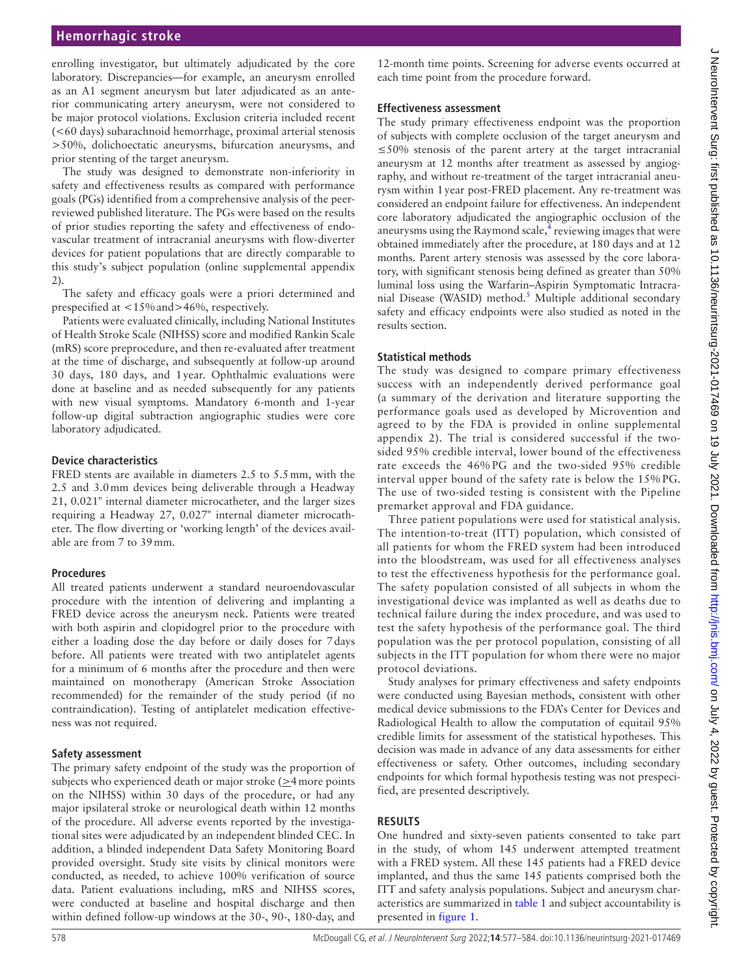#### **Hemorrhagic stroke**

enrolling investigator, but ultimately adjudicated by the core laboratory. Discrepancies—for example, an aneurysm enrolled as an A1 segment aneurysm but later adjudicated as an anterior communicating artery aneurysm, were not considered to be major protocol violations. Exclusion criteria included recent (<60 days) subarachnoid hemorrhage, proximal arterial stenosis >50%, dolichoectatic aneurysms, bifurcation aneurysms, and prior stenting of the target aneurysm.

The study was designed to demonstrate non-inferiority in safety and effectiveness results as compared with performance goals (PGs) identified from a comprehensive analysis of the peerreviewed published literature. The PGs were based on the results of prior studies reporting the safety and effectiveness of endovascular treatment of intracranial aneurysms with flow-diverter devices for patient populations that are directly comparable to this study's subject population ([online supplemental appendix](https://dx.doi.org/10.1136/neurintsurg-2021-017469)  [2](https://dx.doi.org/10.1136/neurintsurg-2021-017469)).

The safety and efficacy goals were a priori determined and prespecified at <15%and>46%, respectively.

Patients were evaluated clinically, including National Institutes of Health Stroke Scale (NIHSS) score and modified Rankin Scale (mRS) score preprocedure, and then re-evaluated after treatment at the time of discharge, and subsequently at follow-up around 30 days, 180 days, and 1year. Ophthalmic evaluations were done at baseline and as needed subsequently for any patients with new visual symptoms. Mandatory 6-month and 1-year follow-up digital subtraction angiographic studies were core laboratory adjudicated.

#### **Device characteristics**

FRED stents are available in diameters 2.5 to 5.5mm, with the 2.5 and 3.0mm devices being deliverable through a Headway 21, 0.021" internal diameter microcatheter, and the larger sizes requiring a Headway 27, 0.027" internal diameter microcatheter. The flow diverting or 'working length' of the devices available are from 7 to 39mm.

#### **Procedures**

All treated patients underwent a standard neuroendovascular procedure with the intention of delivering and implanting a FRED device across the aneurysm neck. Patients were treated with both aspirin and clopidogrel prior to the procedure with either a loading dose the day before or daily doses for 7days before. All patients were treated with two antiplatelet agents for a minimum of 6 months after the procedure and then were maintained on monotherapy (American Stroke Association recommended) for the remainder of the study period (if no contraindication). Testing of antiplatelet medication effectiveness was not required.

#### **Safety assessment**

The primary safety endpoint of the study was the proportion of subjects who experienced death or major stroke (>4more points on the NIHSS) within 30 days of the procedure, or had any major ipsilateral stroke or neurological death within 12 months of the procedure. All adverse events reported by the investigational sites were adjudicated by an independent blinded CEC. In addition, a blinded independent Data Safety Monitoring Board provided oversight. Study site visits by clinical monitors were conducted, as needed, to achieve 100% verification of source data. Patient evaluations including, mRS and NIHSS scores, were conducted at baseline and hospital discharge and then within defined follow-up windows at the 30-, 90-, 180-day, and

12-month time points. Screening for adverse events occurred at each time point from the procedure forward.

#### **Effectiveness assessment**

The study primary effectiveness endpoint was the proportion of subjects with complete occlusion of the target aneurysm and ≤50% stenosis of the parent artery at the target intracranial aneurysm at 12 months after treatment as assessed by angiography, and without re-treatment of the target intracranial aneurysm within 1year post-FRED placement. Any re-treatment was considered an endpoint failure for effectiveness. An independent core laboratory adjudicated the angiographic occlusion of the aneurysms using the Raymond scale, $4$  reviewing images that were obtained immediately after the procedure, at 180 days and at 12 months. Parent artery stenosis was assessed by the core laboratory, with significant stenosis being defined as greater than 50% luminal loss using the Warfarin–Aspirin Symptomatic Intracra-nial Disease (WASID) method.<sup>[5](#page-7-2)</sup> Multiple additional secondary safety and efficacy endpoints were also studied as noted in the results section.

#### **Statistical methods**

The study was designed to compare primary effectiveness success with an independently derived performance goal (a summary of the derivation and literature supporting the performance goals used as developed by Microvention and agreed to by the FDA is provided in [online supplemental](https://dx.doi.org/10.1136/neurintsurg-2021-017469) [appendix 2\)](https://dx.doi.org/10.1136/neurintsurg-2021-017469). The trial is considered successful if the twosided 95% credible interval, lower bound of the effectiveness rate exceeds the 46% PG and the two-sided 95% credible interval upper bound of the safety rate is below the 15% PG. The use of two-sided testing is consistent with the Pipeline premarket approval and FDA guidance.

Three patient populations were used for statistical analysis. The intention-to-treat (ITT) population, which consisted of all patients for whom the FRED system had been introduced into the bloodstream, was used for all effectiveness analyses to test the effectiveness hypothesis for the performance goal. The safety population consisted of all subjects in whom the investigational device was implanted as well as deaths due to technical failure during the index procedure, and was used to test the safety hypothesis of the performance goal. The third population was the per protocol population, consisting of all subjects in the ITT population for whom there were no major protocol deviations.

Study analyses for primary effectiveness and safety endpoints were conducted using Bayesian methods, consistent with other medical device submissions to the FDA's Center for Devices and Radiological Health to allow the computation of equitail 95% credible limits for assessment of the statistical hypotheses. This decision was made in advance of any data assessments for either effectiveness or safety. Other outcomes, including secondary endpoints for which formal hypothesis testing was not prespecified, are presented descriptively.

#### **RESULTS**

One hundred and sixty-seven patients consented to take part in the study, of whom 145 underwent attempted treatment with a FRED system. All these 145 patients had a FRED device implanted, and thus the same 145 patients comprised both the ITT and safety analysis populations. Subject and aneurysm characteristics are summarized in [table](#page-2-0) 1 and subject accountability is presented in [figure](#page-3-0) 1.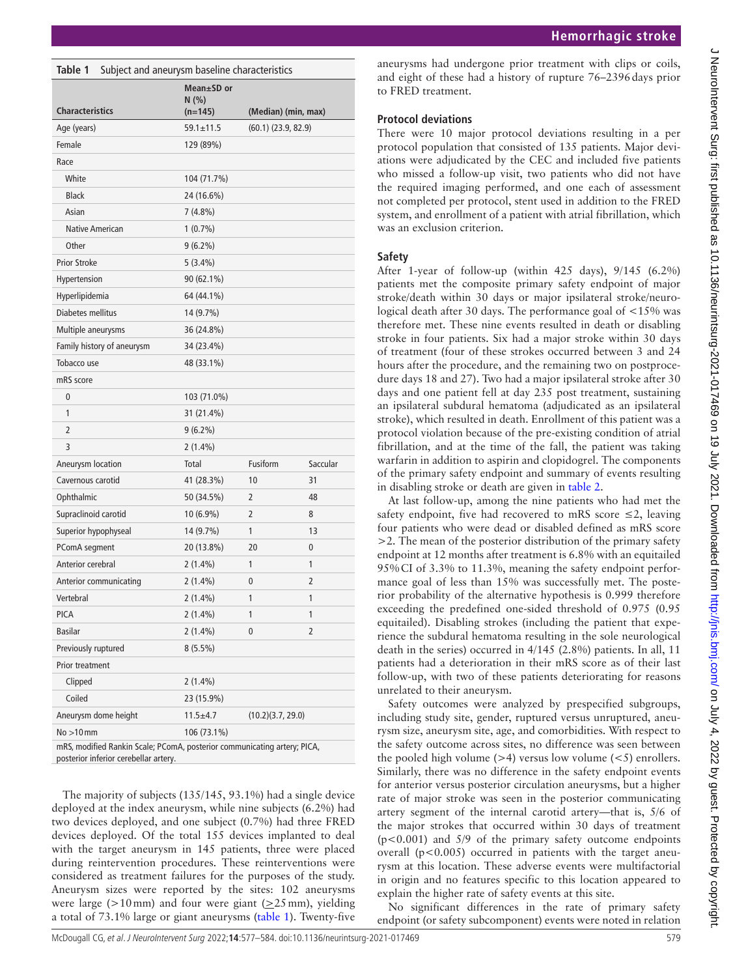<span id="page-2-0"></span>

| Table 1<br>Subject and aneurysm baseline characteristics                                                          |                     |                         |          |
|-------------------------------------------------------------------------------------------------------------------|---------------------|-------------------------|----------|
|                                                                                                                   | Mean±SD or<br>N(% ) |                         |          |
| <b>Characteristics</b>                                                                                            | $(n=145)$           | (Median) (min, max)     |          |
| Age (years)                                                                                                       | $59.1 \pm 11.5$     | $(60.1)$ $(23.9, 82.9)$ |          |
| Female                                                                                                            | 129 (89%)           |                         |          |
| Race                                                                                                              |                     |                         |          |
| White                                                                                                             | 104 (71.7%)         |                         |          |
| <b>Black</b>                                                                                                      | 24 (16.6%)          |                         |          |
| Asian                                                                                                             | 7 (4.8%)            |                         |          |
| <b>Native American</b>                                                                                            | $1(0.7\%)$          |                         |          |
| Other                                                                                                             | $9(6.2\%)$          |                         |          |
| <b>Prior Stroke</b>                                                                                               | $5(3.4\%)$          |                         |          |
| Hypertension                                                                                                      | 90 (62.1%)          |                         |          |
| Hyperlipidemia                                                                                                    | 64 (44.1%)          |                         |          |
| Diabetes mellitus                                                                                                 | 14 (9.7%)           |                         |          |
| Multiple aneurysms                                                                                                | 36 (24.8%)          |                         |          |
| Family history of aneurysm                                                                                        | 34 (23.4%)          |                         |          |
| Tobacco use                                                                                                       | 48 (33.1%)          |                         |          |
| mRS score                                                                                                         |                     |                         |          |
| 0                                                                                                                 | 103 (71.0%)         |                         |          |
| 1                                                                                                                 | 31 (21.4%)          |                         |          |
| 2                                                                                                                 | $9(6.2\%)$          |                         |          |
| 3                                                                                                                 | $2(1.4\%)$          |                         |          |
| Aneurysm location                                                                                                 | Total               | Fusiform                | Saccular |
| Cavernous carotid                                                                                                 | 41 (28.3%)          | 10                      | 31       |
| Ophthalmic                                                                                                        | 50 (34.5%)          | 2                       | 48       |
| Supraclinoid carotid                                                                                              | 10 (6.9%)           | 2                       | 8        |
| Superior hypophyseal                                                                                              | 14 (9.7%)           | 1                       | 13       |
| PComA segment                                                                                                     | 20 (13.8%)          | 20                      | 0        |
| Anterior cerebral                                                                                                 | $2(1.4\%)$          | 1                       | 1        |
| Anterior communicating                                                                                            | 2 (1.4%)            | 0                       | 2        |
| Vertebral                                                                                                         | $2(1.4\%)$          | 1                       | 1        |
| PICA                                                                                                              | $2(1.4\%)$          | 1                       | 1        |
| <b>Basilar</b>                                                                                                    | $2(1.4\%)$          | 0                       | 2        |
| Previously ruptured                                                                                               | $8(5.5\%)$          |                         |          |
| <b>Prior treatment</b>                                                                                            |                     |                         |          |
| Clipped                                                                                                           | $2(1.4\%)$          |                         |          |
| Coiled                                                                                                            | 23 (15.9%)          |                         |          |
| Aneurysm dome height                                                                                              | $11.5 + 4.7$        | (10.2)(3.7, 29.0)       |          |
| $No > 10$ mm                                                                                                      | 106 (73.1%)         |                         |          |
| mRS, modified Rankin Scale; PComA, posterior communicating artery; PICA,<br>posterior inferior cerebellar artery. |                     |                         |          |

The majority of subjects (135/145, 93.1%) had a single device deployed at the index aneurysm, while nine subjects (6.2%) had two devices deployed, and one subject (0.7%) had three FRED devices deployed. Of the total 155 devices implanted to deal with the target aneurysm in 145 patients, three were placed during reintervention procedures. These reinterventions were considered as treatment failures for the purposes of the study. Aneurysm sizes were reported by the sites: 102 aneurysms were large ( $>10$  mm) and four were giant ( $\geq 25$  mm), yielding a total of 73.1% large or giant aneurysms [\(table](#page-2-0) 1). Twenty-five

aneurysms had undergone prior treatment with clips or coils, and eight of these had a history of rupture 76–2396days prior to FRED treatment.

#### **Protocol deviations**

There were 10 major protocol deviations resulting in a per protocol population that consisted of 135 patients. Major deviations were adjudicated by the CEC and included five patients who missed a follow-up visit, two patients who did not have the required imaging performed, and one each of assessment not completed per protocol, stent used in addition to the FRED system, and enrollment of a patient with atrial fibrillation, which was an exclusion criterion.

#### **Safety**

After 1-year of follow-up (within 425 days), 9/145 (6.2%) patients met the composite primary safety endpoint of major stroke/death within 30 days or major ipsilateral stroke/neurological death after 30 days. The performance goal of <15% was therefore met. These nine events resulted in death or disabling stroke in four patients. Six had a major stroke within 30 days of treatment (four of these strokes occurred between 3 and 24 hours after the procedure, and the remaining two on postprocedure days 18 and 27). Two had a major ipsilateral stroke after 30 days and one patient fell at day 235 post treatment, sustaining an ipsilateral subdural hematoma (adjudicated as an ipsilateral stroke), which resulted in death. Enrollment of this patient was a protocol violation because of the pre-existing condition of atrial fibrillation, and at the time of the fall, the patient was taking warfarin in addition to aspirin and clopidogrel. The components of the primary safety endpoint and summary of events resulting in disabling stroke or death are given in [table](#page-4-0) 2.

At last follow-up, among the nine patients who had met the safety endpoint, five had recovered to mRS score  $\leq 2$ , leaving four patients who were dead or disabled defined as mRS score >2. The mean of the posterior distribution of the primary safety endpoint at 12 months after treatment is 6.8% with an equitailed 95%CI of 3.3% to 11.3%, meaning the safety endpoint performance goal of less than 15% was successfully met. The posterior probability of the alternative hypothesis is 0.999 therefore exceeding the predefined one-sided threshold of 0.975 (0.95 equitailed). Disabling strokes (including the patient that experience the subdural hematoma resulting in the sole neurological death in the series) occurred in 4/145 (2.8%) patients. In all, 11 patients had a deterioration in their mRS score as of their last follow-up, with two of these patients deteriorating for reasons unrelated to their aneurysm.

Safety outcomes were analyzed by prespecified subgroups, including study site, gender, ruptured versus unruptured, aneurysm size, aneurysm site, age, and comorbidities. With respect to the safety outcome across sites, no difference was seen between the pooled high volume  $(>4)$  versus low volume  $(<5)$  enrollers. Similarly, there was no difference in the safety endpoint events for anterior versus posterior circulation aneurysms, but a higher rate of major stroke was seen in the posterior communicating artery segment of the internal carotid artery—that is, 5/6 of the major strokes that occurred within 30 days of treatment  $(p<0.001)$  and  $5/9$  of the primary safety outcome endpoints overall ( $p < 0.005$ ) occurred in patients with the target aneurysm at this location. These adverse events were multifactorial in origin and no features specific to this location appeared to explain the higher rate of safety events at this site.

No significant differences in the rate of primary safety endpoint (or safety subcomponent) events were noted in relation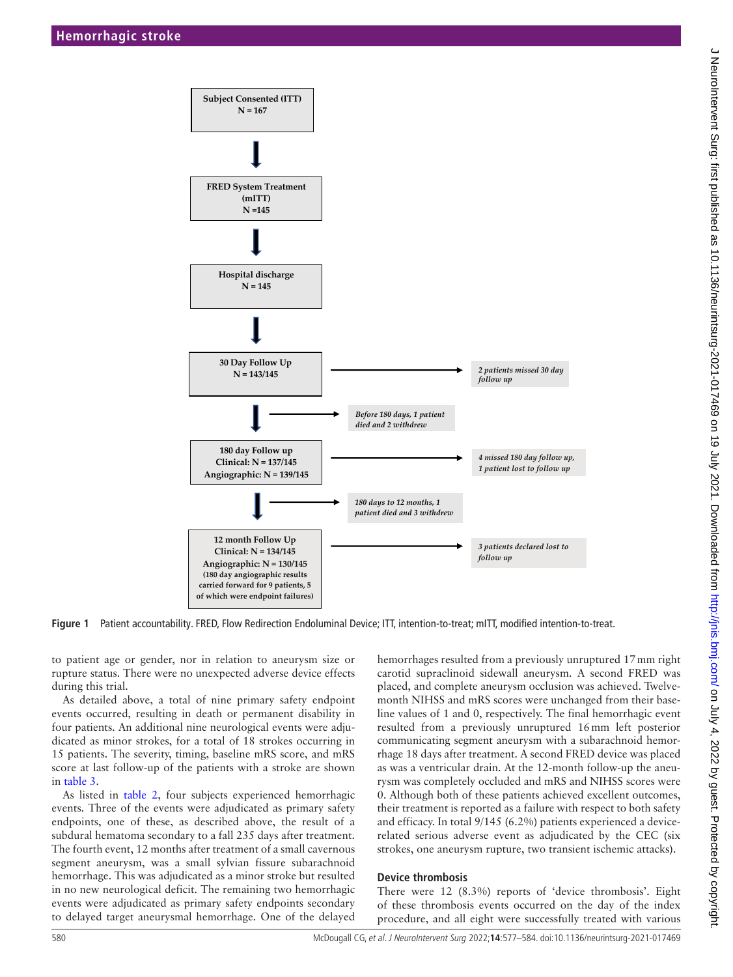

**Figure 1** Patient accountability. FRED, Flow Redirection Endoluminal Device; ITT, intention-to-treat; mITT, modified intention-to-treat.

to patient age or gender, nor in relation to aneurysm size or rupture status. There were no unexpected adverse device effects during this trial.

As detailed above, a total of nine primary safety endpoint events occurred, resulting in death or permanent disability in four patients. An additional nine neurological events were adjudicated as minor strokes, for a total of 18 strokes occurring in 15 patients. The severity, timing, baseline mRS score, and mRS score at last follow-up of the patients with a stroke are shown in [table](#page-4-1) 3.

As listed in [table](#page-4-0) 2, four subjects experienced hemorrhagic events. Three of the events were adjudicated as primary safety endpoints, one of these, as described above, the result of a subdural hematoma secondary to a fall 235 days after treatment. The fourth event, 12 months after treatment of a small cavernous segment aneurysm, was a small sylvian fissure subarachnoid hemorrhage. This was adjudicated as a minor stroke but resulted in no new neurological deficit. The remaining two hemorrhagic events were adjudicated as primary safety endpoints secondary to delayed target aneurysmal hemorrhage. One of the delayed

<span id="page-3-0"></span>hemorrhages resulted from a previously unruptured 17mm right carotid supraclinoid sidewall aneurysm. A second FRED was placed, and complete aneurysm occlusion was achieved. Twelvemonth NIHSS and mRS scores were unchanged from their baseline values of 1 and 0, respectively. The final hemorrhagic event resulted from a previously unruptured 16mm left posterior communicating segment aneurysm with a subarachnoid hemorrhage 18 days after treatment. A second FRED device was placed as was a ventricular drain. At the 12-month follow-up the aneurysm was completely occluded and mRS and NIHSS scores were 0. Although both of these patients achieved excellent outcomes, their treatment is reported as a failure with respect to both safety and efficacy. In total 9/145 (6.2%) patients experienced a devicerelated serious adverse event as adjudicated by the CEC (six strokes, one aneurysm rupture, two transient ischemic attacks).

#### **Device thrombosis**

There were 12 (8.3%) reports of 'device thrombosis'. Eight of these thrombosis events occurred on the day of the index procedure, and all eight were successfully treated with various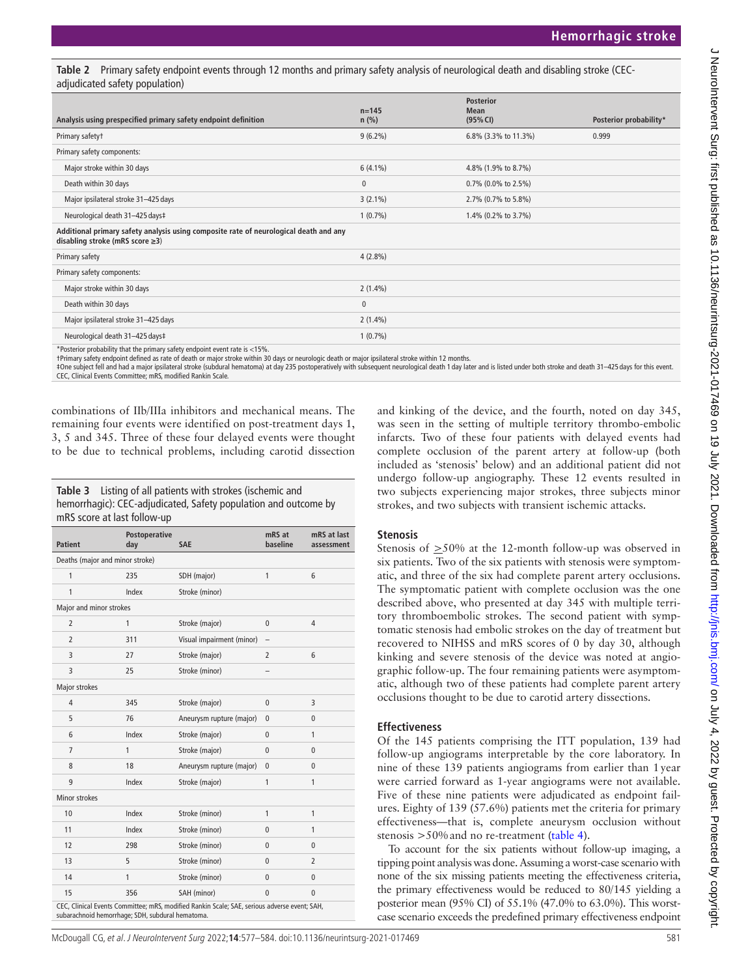<span id="page-4-0"></span>**Table 2** Primary safety endpoint events through 12 months and primary safety analysis of neurological death and disabling stroke (CECadjudicated safety population)

|                                                                                                                                | $n = 145$    | <b>Posterior</b><br><b>Mean</b> |                        |
|--------------------------------------------------------------------------------------------------------------------------------|--------------|---------------------------------|------------------------|
| Analysis using prespecified primary safety endpoint definition                                                                 | $n$ (%)      | (95% CI)                        | Posterior probability* |
| Primary safetyt                                                                                                                | $9(6.2\%)$   | 6.8% (3.3% to 11.3%)            | 0.999                  |
| Primary safety components:                                                                                                     |              |                                 |                        |
| Major stroke within 30 days                                                                                                    | $6(4.1\%)$   | 4.8% (1.9% to 8.7%)             |                        |
| Death within 30 days                                                                                                           | $\mathbf{0}$ | $0.7\%$ (0.0% to 2.5%)          |                        |
| Major ipsilateral stroke 31-425 days                                                                                           | $3(2.1\%)$   | 2.7% (0.7% to 5.8%)             |                        |
| Neurological death 31-425 days‡                                                                                                | $1(0.7\%)$   | 1.4% (0.2% to 3.7%)             |                        |
| Additional primary safety analysis using composite rate of neurological death and any<br>disabling stroke (mRS score $\geq$ 3) |              |                                 |                        |
| Primary safety                                                                                                                 | $4(2.8\%)$   |                                 |                        |
| Primary safety components:                                                                                                     |              |                                 |                        |
| Major stroke within 30 days                                                                                                    | $2(1.4\%)$   |                                 |                        |
| Death within 30 days                                                                                                           | 0            |                                 |                        |
| Major ipsilateral stroke 31-425 days                                                                                           | $2(1.4\%)$   |                                 |                        |
| Neurological death 31-425 days‡                                                                                                | $1(0.7\%)$   |                                 |                        |

\*Posterior probability that the primary safety endpoint event rate is <15%.

†Primary safety endpoint defined as rate of death or major stroke within 30 days or neurologic death or major ipsilateral stroke within 12 months.

‡One subject fell and had a major ipsilateral stroke (subdural hematoma) at day 235 postoperatively with subsequent neurological death 1 day later and is listed under both stroke and death 31–425 days for this event. CEC, Clinical Events Committee; mRS, modified Rankin Scale.

combinations of IIb/IIIa inhibitors and mechanical means. The remaining four events were identified on post-treatment days 1, 3, 5 and 345. Three of these four delayed events were thought to be due to technical problems, including carotid dissection

<span id="page-4-1"></span>

| <b>Table 3</b> Listing of all patients with strokes (ischemic and |
|-------------------------------------------------------------------|
| hemorrhagic): CEC-adjudicated, Safety population and outcome by   |
| mRS score at last follow-up                                       |

| <b>Patient</b>                                                                                                                                   | <b>Postoperative</b><br>day | <b>SAE</b>                | mRS at<br>baseline | mRS at last<br>assessment |
|--------------------------------------------------------------------------------------------------------------------------------------------------|-----------------------------|---------------------------|--------------------|---------------------------|
| Deaths (major and minor stroke)                                                                                                                  |                             |                           |                    |                           |
| 1                                                                                                                                                | 235                         | SDH (major)               | $\mathbf{1}$       | 6                         |
| 1                                                                                                                                                | Index                       | Stroke (minor)            |                    |                           |
| Major and minor strokes                                                                                                                          |                             |                           |                    |                           |
| $\overline{2}$                                                                                                                                   | 1                           | Stroke (major)            | 0                  | 4                         |
| $\overline{2}$                                                                                                                                   | 311                         | Visual impairment (minor) |                    |                           |
| 3                                                                                                                                                | 27                          | Stroke (major)            | $\overline{2}$     | 6                         |
| 3                                                                                                                                                | 25                          | Stroke (minor)            |                    |                           |
| Major strokes                                                                                                                                    |                             |                           |                    |                           |
| $\overline{4}$                                                                                                                                   | 345                         | Stroke (major)            | 0                  | 3                         |
| 5                                                                                                                                                | 76                          | Aneurysm rupture (major)  | 0                  | $\mathbf{0}$              |
| 6                                                                                                                                                | Index                       | Stroke (major)            | 0                  | 1                         |
| 7                                                                                                                                                | 1                           | Stroke (major)            | 0                  | $\mathbf{0}$              |
| 8                                                                                                                                                | 18                          | Aneurysm rupture (major)  | 0                  | $\mathbf{0}$              |
| 9                                                                                                                                                | Index                       | Stroke (major)            | 1                  | 1                         |
| Minor strokes                                                                                                                                    |                             |                           |                    |                           |
| 10                                                                                                                                               | Index                       | Stroke (minor)            | 1                  | 1                         |
| 11                                                                                                                                               | Index                       | Stroke (minor)            | 0                  | 1                         |
| 12                                                                                                                                               | 298                         | Stroke (minor)            | $\mathbf{0}$       | $\mathbf{0}$              |
| 13                                                                                                                                               | 5                           | Stroke (minor)            | 0                  | $\overline{2}$            |
| 14                                                                                                                                               | 1                           | Stroke (minor)            | $\mathbf{0}$       | $\mathbf{0}$              |
| 15                                                                                                                                               | 356                         | SAH (minor)               | $\mathbf{0}$       | $\mathbf{0}$              |
| CEC, Clinical Events Committee; mRS, modified Rankin Scale; SAE, serious adverse event; SAH,<br>subarachnoid hemorrhage; SDH, subdural hematoma. |                             |                           |                    |                           |

and kinking of the device, and the fourth, noted on day 345, was seen in the setting of multiple territory thrombo-embolic infarcts. Two of these four patients with delayed events had complete occlusion of the parent artery at follow-up (both included as 'stenosis' below) and an additional patient did not undergo follow-up angiography. These 12 events resulted in two subjects experiencing major strokes, three subjects minor strokes, and two subjects with transient ischemic attacks.

#### **Stenosis**

Stenosis of  $\geq$ 50% at the 12-month follow-up was observed in six patients. Two of the six patients with stenosis were symptomatic, and three of the six had complete parent artery occlusions. The symptomatic patient with complete occlusion was the one described above, who presented at day 345 with multiple territory thromboembolic strokes. The second patient with symptomatic stenosis had embolic strokes on the day of treatment but recovered to NIHSS and mRS scores of 0 by day 30, although kinking and severe stenosis of the device was noted at angiographic follow-up. The four remaining patients were asymptomatic, although two of these patients had complete parent artery occlusions thought to be due to carotid artery dissections.

#### **Effectiveness**

Of the 145 patients comprising the ITT population, 139 had follow-up angiograms interpretable by the core laboratory. In nine of these 139 patients angiograms from earlier than 1year were carried forward as 1-year angiograms were not available. Five of these nine patients were adjudicated as endpoint failures. Eighty of 139 (57.6%) patients met the criteria for primary effectiveness—that is, complete aneurysm occlusion without stenosis >50%and no re-treatment [\(table](#page-5-0) 4).

To account for the six patients without follow-up imaging, a tipping point analysis was done. Assuming a worst-case scenario with none of the six missing patients meeting the effectiveness criteria, the primary effectiveness would be reduced to 80/145 yielding a posterior mean (95% CI) of 55.1% (47.0% to 63.0%). This worstcase scenario exceeds the predefined primary effectiveness endpoint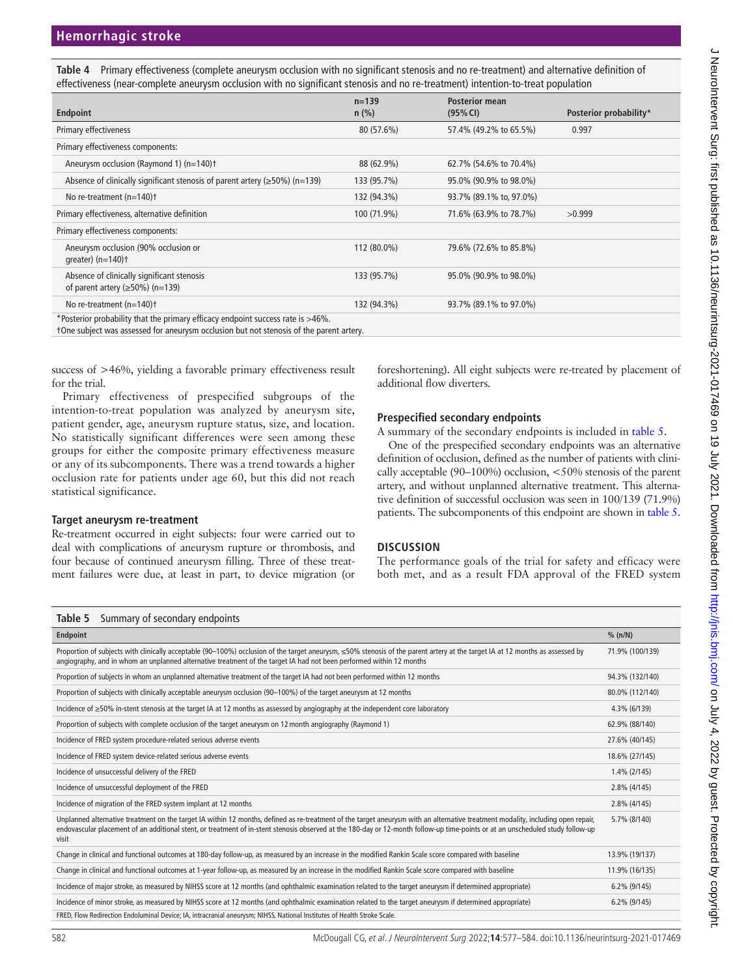<span id="page-5-0"></span>**Table 4** Primary effectiveness (complete aneurysm occlusion with no significant stenosis and no re-treatment) and alternative definition of effectiveness (near-complete aneurysm occlusion with no significant stenosis and no re-treatment) intention-to-treat population

| <b>Endpoint</b>                                                                      | $n = 139$<br>$n$ (%) | <b>Posterior mean</b><br>(95% CI) | Posterior probability* |
|--------------------------------------------------------------------------------------|----------------------|-----------------------------------|------------------------|
| Primary effectiveness                                                                | 80 (57.6%)           | 57.4% (49.2% to 65.5%)            | 0.997                  |
| Primary effectiveness components:                                                    |                      |                                   |                        |
| Aneurysm occlusion (Raymond 1) (n=140)t                                              | 88 (62.9%)           | 62.7% (54.6% to 70.4%)            |                        |
| Absence of clinically significant stenosis of parent artery ( $\geq$ 50%) (n=139)    | 133 (95.7%)          | 95.0% (90.9% to 98.0%)            |                        |
| No re-treatment (n=140)+                                                             | 132 (94.3%)          | 93.7% (89.1% to, 97.0%)           |                        |
| Primary effectiveness, alternative definition                                        | 100 (71.9%)          | 71.6% (63.9% to 78.7%)            | >0.999                 |
| Primary effectiveness components:                                                    |                      |                                   |                        |
| Aneurysm occlusion (90% occlusion or<br>greater) $(n=140)$ <sup>+</sup>              | 112 (80.0%)          | 79.6% (72.6% to 85.8%)            |                        |
| Absence of clinically significant stenosis<br>of parent artery ( $\geq$ 50%) (n=139) | 133 (95.7%)          | 95.0% (90.9% to 98.0%)            |                        |
| No re-treatment $(n=140)$ <sup>+</sup>                                               | 132 (94.3%)          | 93.7% (89.1% to 97.0%)            |                        |
| *Posterior probability that the primary efficacy endpoint success rate is >46%.      |                      |                                   |                        |

†One subject was assessed for aneurysm occlusion but not stenosis of the parent artery.

success of >46%, yielding a favorable primary effectiveness result for the trial.

Primary effectiveness of prespecified subgroups of the intention-to-treat population was analyzed by aneurysm site, patient gender, age, aneurysm rupture status, size, and location. No statistically significant differences were seen among these groups for either the composite primary effectiveness measure or any of its subcomponents. There was a trend towards a higher occlusion rate for patients under age 60, but this did not reach statistical significance.

#### **Target aneurysm re-treatment**

Re-treatment occurred in eight subjects: four were carried out to deal with complications of aneurysm rupture or thrombosis, and four because of continued aneurysm filling. Three of these treatment failures were due, at least in part, to device migration (or

foreshortening). All eight subjects were re-treated by placement of additional flow diverters.

#### **Prespecified secondary endpoints**

A summary of the secondary endpoints is included in [table](#page-5-1) 5.

One of the prespecified secondary endpoints was an alternative definition of occlusion, defined as the number of patients with clinically acceptable (90–100%) occlusion, <50% stenosis of the parent artery, and without unplanned alternative treatment. This alternative definition of successful occlusion was seen in 100/139 (71.9%) patients. The subcomponents of this endpoint are shown in [table](#page-5-1) 5.

#### **DISCUSSION**

The performance goals of the trial for safety and efficacy were both met, and as a result FDA approval of the FRED system

<span id="page-5-1"></span>

| Summary of secondary endpoints<br>Table 5                                                                                                                                                                                                                                                                                                                                    |                 |
|------------------------------------------------------------------------------------------------------------------------------------------------------------------------------------------------------------------------------------------------------------------------------------------------------------------------------------------------------------------------------|-----------------|
| <b>Endpoint</b>                                                                                                                                                                                                                                                                                                                                                              | % (n/N)         |
| Proportion of subjects with clinically acceptable (90–100%) occlusion of the target aneurysm, $\leq$ 50% stenosis of the parent artery at the target IA at 12 months as assessed by<br>angiography, and in whom an unplanned alternative treatment of the target IA had not been performed within 12 months                                                                  | 71.9% (100/139) |
| Proportion of subjects in whom an unplanned alternative treatment of the target IA had not been performed within 12 months                                                                                                                                                                                                                                                   | 94.3% (132/140) |
| Proportion of subjects with clinically acceptable aneurysm occlusion (90-100%) of the target aneurysm at 12 months                                                                                                                                                                                                                                                           | 80.0% (112/140) |
| Incidence of ≥50% in-stent stenosis at the target IA at 12 months as assessed by angiography at the independent core laboratory                                                                                                                                                                                                                                              | 4.3% (6/139)    |
| Proportion of subjects with complete occlusion of the target aneurysm on 12 month angiography (Raymond 1)                                                                                                                                                                                                                                                                    | 62.9% (88/140)  |
| Incidence of FRED system procedure-related serious adverse events                                                                                                                                                                                                                                                                                                            | 27.6% (40/145)  |
| Incidence of FRED system device-related serious adverse events                                                                                                                                                                                                                                                                                                               | 18.6% (27/145)  |
| Incidence of unsuccessful delivery of the FRED                                                                                                                                                                                                                                                                                                                               | 1.4% (2/145)    |
| Incidence of unsuccessful deployment of the FRED                                                                                                                                                                                                                                                                                                                             | 2.8% (4/145)    |
| Incidence of migration of the FRED system implant at 12 months                                                                                                                                                                                                                                                                                                               | 2.8% (4/145)    |
| Unplanned alternative treatment on the target IA within 12 months, defined as re-treatment of the target aneurysm with an alternative treatment modality, including open repair,<br>endovascular placement of an additional stent, or treatment of in-stent stenosis observed at the 180-day or 12-month follow-up time-points or at an unscheduled study follow-up<br>visit | 5.7% (8/140)    |
| Change in clinical and functional outcomes at 180-day follow-up, as measured by an increase in the modified Rankin Scale score compared with baseline                                                                                                                                                                                                                        | 13.9% (19/137)  |
| Change in clinical and functional outcomes at 1-year follow-up, as measured by an increase in the modified Rankin Scale score compared with baseline                                                                                                                                                                                                                         | 11.9% (16/135)  |
| Incidence of major stroke, as measured by NIHSS score at 12 months (and ophthalmic examination related to the target aneurysm if determined appropriate)                                                                                                                                                                                                                     | $6.2\%$ (9/145) |
| Incidence of minor stroke, as measured by NIHSS score at 12 months (and ophthalmic examination related to the target aneurysm if determined appropriate)                                                                                                                                                                                                                     | $6.2\%$ (9/145) |
| FRED, Flow Redirection Endoluminal Device; IA, intracranial aneurysm; NIHSS, National Institutes of Health Stroke Scale.                                                                                                                                                                                                                                                     |                 |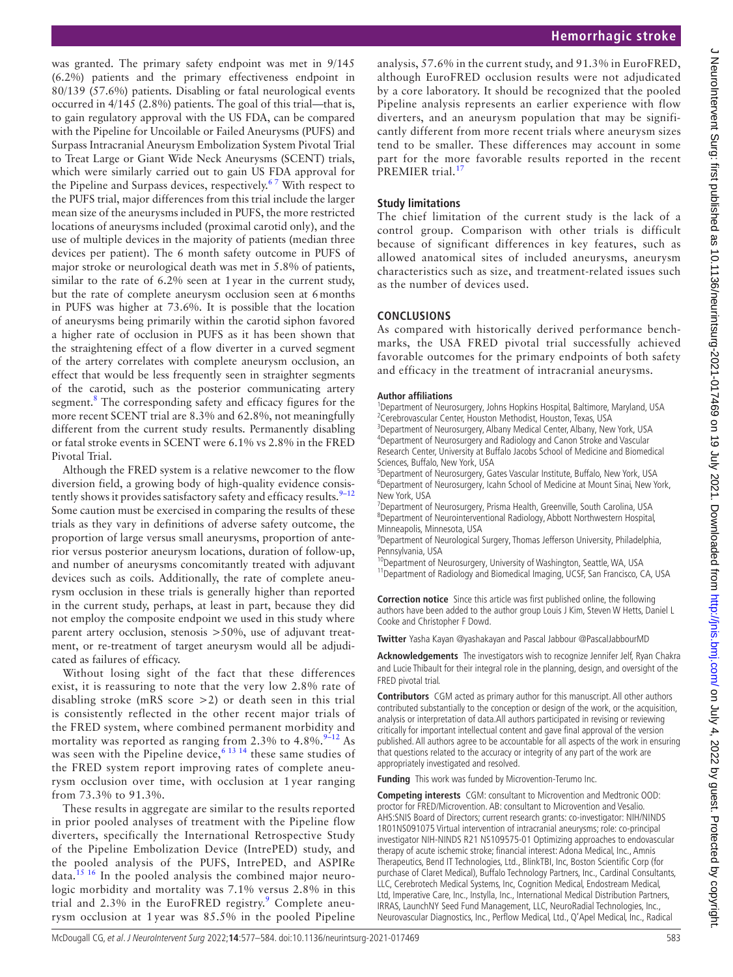# **Study limitations**

The chief limitation of the current study is the lack of a control group. Comparison with other trials is difficult because of significant differences in key features, such as allowed anatomical sites of included aneurysms, aneurysm characteristics such as size, and treatment-related issues such as the number of devices used.

#### **CONCLUSIONS**

As compared with historically derived performance benchmarks, the USA FRED pivotal trial successfully achieved favorable outcomes for the primary endpoints of both safety and efficacy in the treatment of intracranial aneurysms.

#### **Author affiliations**

<sup>1</sup>Department of Neurosurgery, Johns Hopkins Hospital, Baltimore, Maryland, USA 2 Cerebrovascular Center, Houston Methodist, Houston, Texas, USA <sup>3</sup>Department of Neurosurgery, Albany Medical Center, Albany, New York, USA 4 Department of Neurosurgery and Radiology and Canon Stroke and Vascular Research Center, University at Buffalo Jacobs School of Medicine and Biomedical Sciences, Buffalo, New York, USA

5 Department of Neurosurgery, Gates Vascular Institute, Buffalo, New York, USA <sup>6</sup>Department of Neurosurgery, Icahn School of Medicine at Mount Sinai, New York, New York, USA

<sup>7</sup>Department of Neurosurgery, Prisma Health, Greenville, South Carolina, USA 8 Department of Neurointerventional Radiology, Abbott Northwestern Hospital, Minneapolis, Minnesota, USA

<sup>9</sup>Department of Neurological Surgery, Thomas Jefferson University, Philadelphia, Pennsylvania, USA

<sup>10</sup>Department of Neurosurgery, University of Washington, Seattle, WA, USA <sup>11</sup>Department of Radiology and Biomedical Imaging, UCSF, San Francisco, CA, USA

**Correction notice** Since this article was first published online, the following authors have been added to the author group Louis J Kim, Steven W Hetts, Daniel L Cooke and Christopher F Dowd.

**Twitter** Yasha Kayan [@yashakayan](https://twitter.com/yashakayan) and Pascal Jabbour [@PascalJabbourMD](https://twitter.com/PascalJabbourMD)

**Acknowledgements** The investigators wish to recognize Jennifer Jelf, Ryan Chakra and Lucie Thibault for their integral role in the planning, design, and oversight of the FRED pivotal trial.

**Contributors** CGM acted as primary author for this manuscript. All other authors contributed substantially to the conception or design of the work, or the acquisition, analysis or interpretation of data.All authors participated in revising or reviewing critically for important intellectual content and gave final approval of the version published. All authors agree to be accountable for all aspects of the work in ensuring that questions related to the accuracy or integrity of any part of the work are appropriately investigated and resolved.

**Funding** This work was funded by Microvention-Terumo Inc.

**Competing interests** CGM: consultant to Microvention and Medtronic OOD: proctor for FRED/Microvention. AB: consultant to Microvention and Vesalio. AHS:SNIS Board of Directors; current research grants: co-investigator: NIH/NINDS 1R01NS091075 Virtual intervention of intracranial aneurysms; role: co-principal investigator NIH-NINDS R21 NS109575-01 Optimizing approaches to endovascular therapy of acute ischemic stroke; financial interest: Adona Medical, Inc., Amnis Therapeutics, Bend IT Technologies, Ltd., BlinkTBI, Inc, Boston Scientific Corp (for purchase of Claret Medical), Buffalo Technology Partners, Inc., Cardinal Consultants, LLC, Cerebrotech Medical Systems, Inc, Cognition Medical, Endostream Medical, Ltd, Imperative Care, Inc., Instylla, Inc., International Medical Distribution Partners, IRRAS, LaunchNY Seed Fund Management, LLC, NeuroRadial Technologies, Inc., Neurovascular Diagnostics, Inc., Perflow Medical, Ltd., Q'Apel Medical, Inc., Radical

was granted. The primary safety endpoint was met in 9/145 (6.2%) patients and the primary effectiveness endpoint in 80/139 (57.6%) patients. Disabling or fatal neurological events occurred in 4/145 (2.8%) patients. The goal of this trial—that is, to gain regulatory approval with the US FDA, can be compared with the Pipeline for Uncoilable or Failed Aneurysms (PUFS) and Surpass Intracranial Aneurysm Embolization System Pivotal Trial to Treat Large or Giant Wide Neck Aneurysms (SCENT) trials, which were similarly carried out to gain US FDA approval for the Pipeline and Surpass devices, respectively.<sup>67</sup> With respect to the PUFS trial, major differences from this trial include the larger mean size of the aneurysms included in PUFS, the more restricted locations of aneurysms included (proximal carotid only), and the use of multiple devices in the majority of patients (median three devices per patient). The 6 month safety outcome in PUFS of major stroke or neurological death was met in 5.8% of patients, similar to the rate of 6.2% seen at 1year in the current study, but the rate of complete aneurysm occlusion seen at 6months in PUFS was higher at 73.6%. It is possible that the location of aneurysms being primarily within the carotid siphon favored a higher rate of occlusion in PUFS as it has been shown that the straightening effect of a flow diverter in a curved segment of the artery correlates with complete aneurysm occlusion, an effect that would be less frequently seen in straighter segments of the carotid, such as the posterior communicating artery segment.<sup>8</sup> The corresponding safety and efficacy figures for the more recent SCENT trial are 8.3% and 62.8%, not meaningfully different from the current study results. Permanently disabling or fatal stroke events in SCENT were 6.1% vs 2.8% in the FRED Pivotal Trial.

Although the FRED system is a relative newcomer to the flow diversion field, a growing body of high-quality evidence consistently shows it provides satisfactory safety and efficacy results. $9-12$ Some caution must be exercised in comparing the results of these trials as they vary in definitions of adverse safety outcome, the proportion of large versus small aneurysms, proportion of anterior versus posterior aneurysm locations, duration of follow-up, and number of aneurysms concomitantly treated with adjuvant devices such as coils. Additionally, the rate of complete aneurysm occlusion in these trials is generally higher than reported in the current study, perhaps, at least in part, because they did not employ the composite endpoint we used in this study where parent artery occlusion, stenosis >50%, use of adjuvant treatment, or re-treatment of target aneurysm would all be adjudicated as failures of efficacy.

Without losing sight of the fact that these differences exist, it is reassuring to note that the very low 2.8% rate of disabling stroke (mRS score >2) or death seen in this trial is consistently reflected in the other recent major trials of the FRED system, where combined permanent morbidity and mortality was reported as ranging from 2.3% to  $4.8\%$ .<sup>9-12</sup> As was seen with the Pipeline device,  $6^{13}$ <sup>14</sup> these same studies of the FRED system report improving rates of complete aneurysm occlusion over time, with occlusion at 1 year ranging from 73.3% to 91.3%.

These results in aggregate are similar to the results reported in prior pooled analyses of treatment with the Pipeline flow diverters, specifically the International Retrospective Study of the Pipeline Embolization Device (IntrePED) study, and the pooled analysis of the PUFS, IntrePED, and ASPIRe data.[15 16](#page-7-6) In the pooled analysis the combined major neurologic morbidity and mortality was 7.1% versus 2.8% in this trial and 2.3% in the EuroFRED registry.<sup>[9](#page-7-5)</sup> Complete aneurysm occlusion at 1 year was 85.5% in the pooled Pipeline